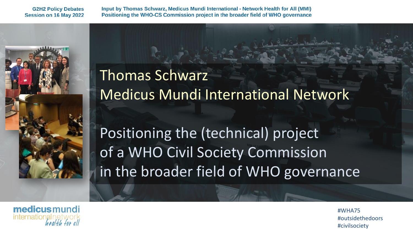Input by Thomas Schwarz, Medicus Mundi International - Network Health for All (MMI) Positioning the WHO-CS Commission project in the broader field of WHO governance



Thomas Schwarz Medicus Mundi International Network

Positioning the (technical) project of a WHO Civil Society Commission in the broader field of WHO governance

medicusmundi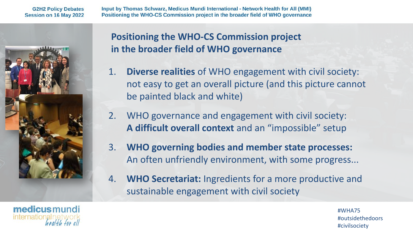Input by Thomas Schwarz, Medicus Mundi International - Network Health for All (MMI) Positioning the WHO-CS Commission project in the broader field of WHO governance



## **Positioning the WHO-CS Commission project in the broader field of WHO governance**

- 1. **Diverse realities** of WHO engagement with civil society: not easy to get an overall picture (and this picture cannot be painted black and white)
- 2. WHO governance and engagement with civil society: **A difficult overall context** and an "impossible" setup
- 3. **WHO governing bodies and member state processes:**  An often unfriendly environment, with some progress...
- 4. **WHO Secretariat:** Ingredients for a more productive and sustainable engagement with civil society

medicusmundi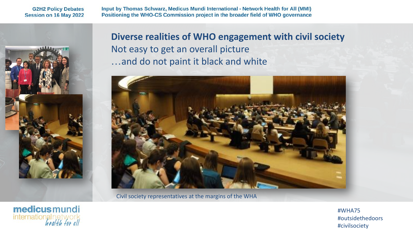Input by Thomas Schwarz, Medicus Mundi International - Network Health for All (MMI) Positioning the WHO-CS Commission project in the broader field of WHO governance



**Diverse realities of WHO engagement with civil society** Not easy to get an overall picture …and do not paint it black and white



Civil society representatives at the margins of the WHA

medicusmundi international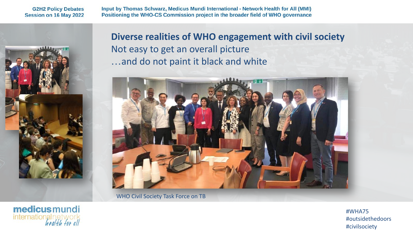Input by Thomas Schwarz, Medicus Mundi International - Network Health for All (MMI) Positioning the WHO-CS Commission project in the broader field of WHO governance



internationalnetw

**Diverse realities of WHO engagement with civil society**  Not easy to get an overall picture …and do not paint it black and white



WHO Civil Society Task Force on TB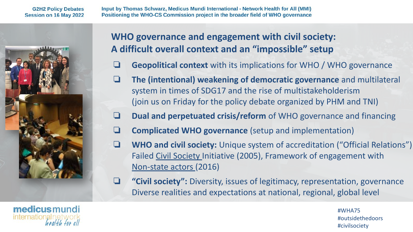Input by Thomas Schwarz, Medicus Mundi International - Network Health for All (MMI) Positioning the WHO-CS Commission project in the broader field of WHO governance



# **WHO governance and engagement with civil society: A difficult overall context and an "impossible" setup**

- ❏ **Geopolitical context** with its implications for WHO / WHO governance
- ❏ **The (intentional) weakening of democratic governance** and multilateral system in times of SDG17 and the rise of multistakeholderism (join us on Friday for the policy debate organized by PHM and TNI)
- ❏ **Dual and perpetuated crisis/reform** of WHO governance and financing
- ❏ **Complicated WHO governance** (setup and implementation)
- ❏ **WHO and civil society:** Unique system of accreditation ("Official Relations") Failed Civil Society Initiative (2005), Framework of engagement with Non-state actors (2016)
- ❏ **"Civil society":** Diversity, issues of legitimacy, representation, governance Diverse realities and expectations at national, regional, global level

medicusmundi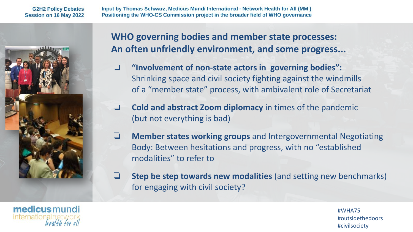Input by Thomas Schwarz, Medicus Mundi International - Network Health for All (MMI) Positioning the WHO-CS Commission project in the broader field of WHO governance



### **WHO governing bodies and member state processes: An often unfriendly environment, and some progress...**

- ❏ **"Involvement of non-state actors in governing bodies":** Shrinking space and civil society fighting against the windmills of a "member state" process, with ambivalent role of Secretariat
- ❏ **Cold and abstract Zoom diplomacy** in times of the pandemic (but not everything is bad)
- ❏ **Member states working groups** and Intergovernmental Negotiating Body: Between hesitations and progress, with no "established modalities" to refer to
- ❏ **Step be step towards new modalities** (and setting new benchmarks) for engaging with civil society?

medicusmundi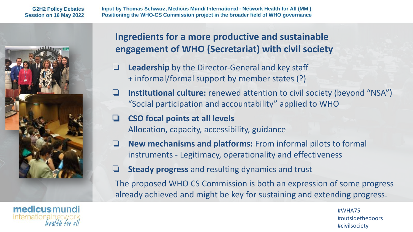Input by Thomas Schwarz, Medicus Mundi International - Network Health for All (MMI) Positioning the WHO-CS Commission project in the broader field of WHO governance



# **Ingredients for a more productive and sustainable engagement of WHO (Secretariat) with civil society**

- ❏ **Leadership** by the Director-General and key staff + informal/formal support by member states (?)
- ❏ **Institutional culture:** renewed attention to civil society (beyond "NSA") "Social participation and accountability" applied to WHO
- ❏ **CSO focal points at all levels** Allocation, capacity, accessibility, guidance
- ❏ **New mechanisms and platforms:** From informal pilots to formal instruments - Legitimacy, operationality and effectiveness
- ❏ **Steady progress** and resulting dynamics and trust

The proposed WHO CS Commission is both an expression of some progress already achieved and might be key for sustaining and extending progress.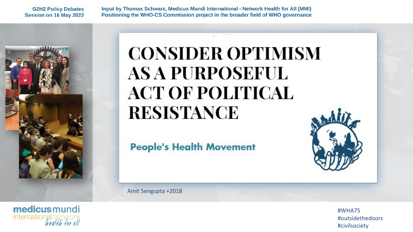Input by Thomas Schwarz, Medicus Mundi International - Network Health for All (MMI) Positioning the WHO-CS Commission project in the broader field of WHO governance



internationalnety

# **CONSIDER OPTIMISM AS A PURPOSEFUL ACT OF POLITICAL RESISTANCE**

**People's Health Movement** 



Amit Sengupta +2018